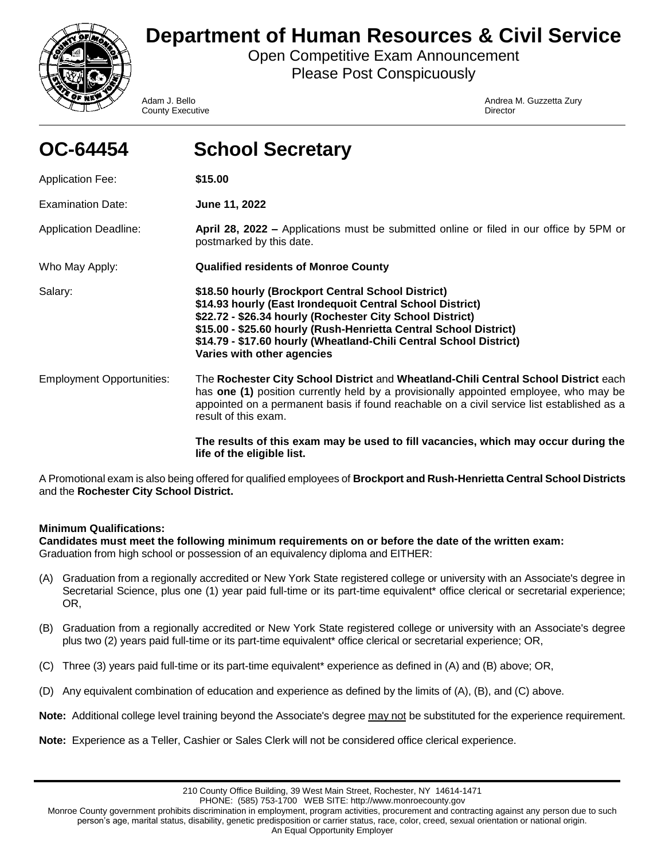

# **Department of Human Resources & Civil Service**

Open Competitive Exam Announcement Please Post Conspicuously

**County Executive County Executive County Executive** County **Director** 

Adam J. Bello **Andrea M. Guzzetta Zury** Andrea M. Guzzetta Zury

| OC-64454                         | <b>School Secretary</b>                                                                                                                                                                                                                                                                                                                               |
|----------------------------------|-------------------------------------------------------------------------------------------------------------------------------------------------------------------------------------------------------------------------------------------------------------------------------------------------------------------------------------------------------|
| <b>Application Fee:</b>          | \$15.00                                                                                                                                                                                                                                                                                                                                               |
| <b>Examination Date:</b>         | June 11, 2022                                                                                                                                                                                                                                                                                                                                         |
| <b>Application Deadline:</b>     | April 28, 2022 – Applications must be submitted online or filed in our office by 5PM or<br>postmarked by this date.                                                                                                                                                                                                                                   |
| Who May Apply:                   | <b>Qualified residents of Monroe County</b>                                                                                                                                                                                                                                                                                                           |
| Salary:                          | \$18.50 hourly (Brockport Central School District)<br>\$14.93 hourly (East Irondequoit Central School District)<br>\$22.72 - \$26.34 hourly (Rochester City School District)<br>\$15.00 - \$25.60 hourly (Rush-Henrietta Central School District)<br>\$14.79 - \$17.60 hourly (Wheatland-Chili Central School District)<br>Varies with other agencies |
| <b>Employment Opportunities:</b> | The Rochester City School District and Wheatland-Chili Central School District each<br>has one (1) position currently held by a provisionally appointed employee, who may be<br>appointed on a permanent basis if found reachable on a civil service list established as a<br>result of this exam.                                                    |
|                                  | The results of this exam may be used to fill vacancies, which may occur during the<br>life of the eligible list.                                                                                                                                                                                                                                      |

A Promotional exam is also being offered for qualified employees of **Brockport and Rush-Henrietta Central School Districts**  and the **Rochester City School District.**

# **Minimum Qualifications:**

**Candidates must meet the following minimum requirements on or before the date of the written exam:**  Graduation from high school or possession of an equivalency diploma and EITHER:

- (A) Graduation from a regionally accredited or New York State registered college or university with an Associate's degree in Secretarial Science, plus one (1) year paid full-time or its part-time equivalent\* office clerical or secretarial experience; OR,
- (B) Graduation from a regionally accredited or New York State registered college or university with an Associate's degree plus two (2) years paid full-time or its part-time equivalent\* office clerical or secretarial experience; OR,
- (C) Three (3) years paid full-time or its part-time equivalent\* experience as defined in (A) and (B) above; OR,
- (D) Any equivalent combination of education and experience as defined by the limits of (A), (B), and (C) above.
- **Note:** Additional college level training beyond the Associate's degree may not be substituted for the experience requirement.
- **Note:** Experience as a Teller, Cashier or Sales Clerk will not be considered office clerical experience.

PHONE: (585) 753-1700 WEB SITE: http://www.monroecounty.gov

Monroe County government prohibits discrimination in employment, program activities, procurement and contracting against any person due to such person's age, marital status, disability, genetic predisposition or carrier status, race, color, creed, sexual orientation or national origin. An Equal Opportunity Employer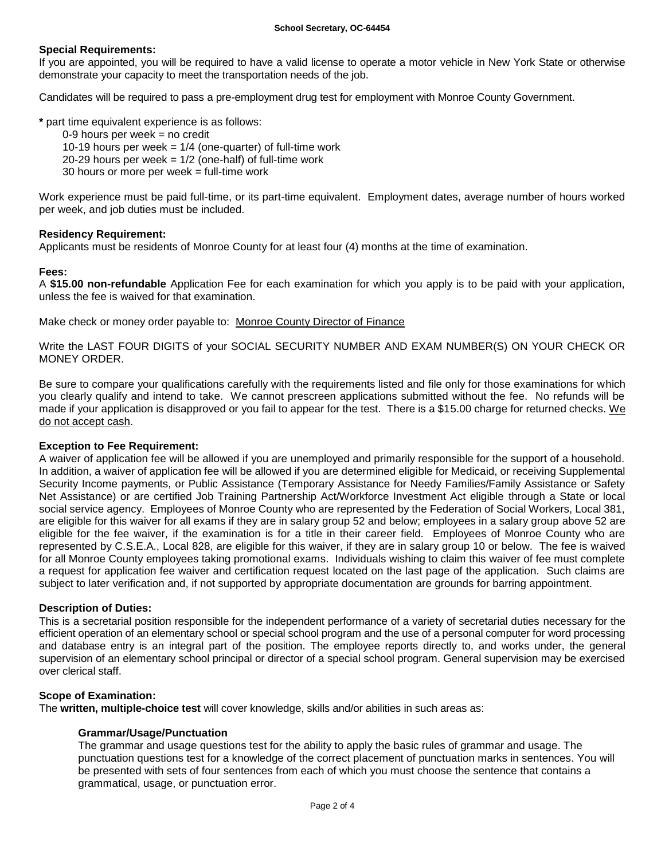# **Special Requirements:**

If you are appointed, you will be required to have a valid license to operate a motor vehicle in New York State or otherwise demonstrate your capacity to meet the transportation needs of the job.

Candidates will be required to pass a pre-employment drug test for employment with Monroe County Government.

**\*** part time equivalent experience is as follows:

- $0-9$  hours per week = no credit
	- 10-19 hours per week  $= 1/4$  (one-quarter) of full-time work
	- 20-29 hours per week  $= 1/2$  (one-half) of full-time work
	- 30 hours or more per week = full-time work

Work experience must be paid full-time, or its part-time equivalent. Employment dates, average number of hours worked per week, and job duties must be included.

## **Residency Requirement:**

Applicants must be residents of Monroe County for at least four (4) months at the time of examination.

# **Fees:**

A **\$15.00 non-refundable** Application Fee for each examination for which you apply is to be paid with your application, unless the fee is waived for that examination.

Make check or money order payable to: Monroe County Director of Finance

Write the LAST FOUR DIGITS of your SOCIAL SECURITY NUMBER AND EXAM NUMBER(S) ON YOUR CHECK OR MONEY ORDER.

Be sure to compare your qualifications carefully with the requirements listed and file only for those examinations for which you clearly qualify and intend to take. We cannot prescreen applications submitted without the fee. No refunds will be made if your application is disapproved or you fail to appear for the test. There is a \$15.00 charge for returned checks. We do not accept cash.

# **Exception to Fee Requirement:**

A waiver of application fee will be allowed if you are unemployed and primarily responsible for the support of a household. In addition, a waiver of application fee will be allowed if you are determined eligible for Medicaid, or receiving Supplemental Security Income payments, or Public Assistance (Temporary Assistance for Needy Families/Family Assistance or Safety Net Assistance) or are certified Job Training Partnership Act/Workforce Investment Act eligible through a State or local social service agency. Employees of Monroe County who are represented by the Federation of Social Workers, Local 381, are eligible for this waiver for all exams if they are in salary group 52 and below; employees in a salary group above 52 are eligible for the fee waiver, if the examination is for a title in their career field. Employees of Monroe County who are represented by C.S.E.A., Local 828, are eligible for this waiver, if they are in salary group 10 or below. The fee is waived for all Monroe County employees taking promotional exams. Individuals wishing to claim this waiver of fee must complete a request for application fee waiver and certification request located on the last page of the application. Such claims are subject to later verification and, if not supported by appropriate documentation are grounds for barring appointment.

## **Description of Duties:**

This is a secretarial position responsible for the independent performance of a variety of secretarial duties necessary for the efficient operation of an elementary school or special school program and the use of a personal computer for word processing and database entry is an integral part of the position. The employee reports directly to, and works under, the general supervision of an elementary school principal or director of a special school program. General supervision may be exercised over clerical staff.

## **Scope of Examination:**

The **written, multiple-choice test** will cover knowledge, skills and/or abilities in such areas as:

## **Grammar/Usage/Punctuation**

The grammar and usage questions test for the ability to apply the basic rules of grammar and usage. The punctuation questions test for a knowledge of the correct placement of punctuation marks in sentences. You will be presented with sets of four sentences from each of which you must choose the sentence that contains a grammatical, usage, or punctuation error.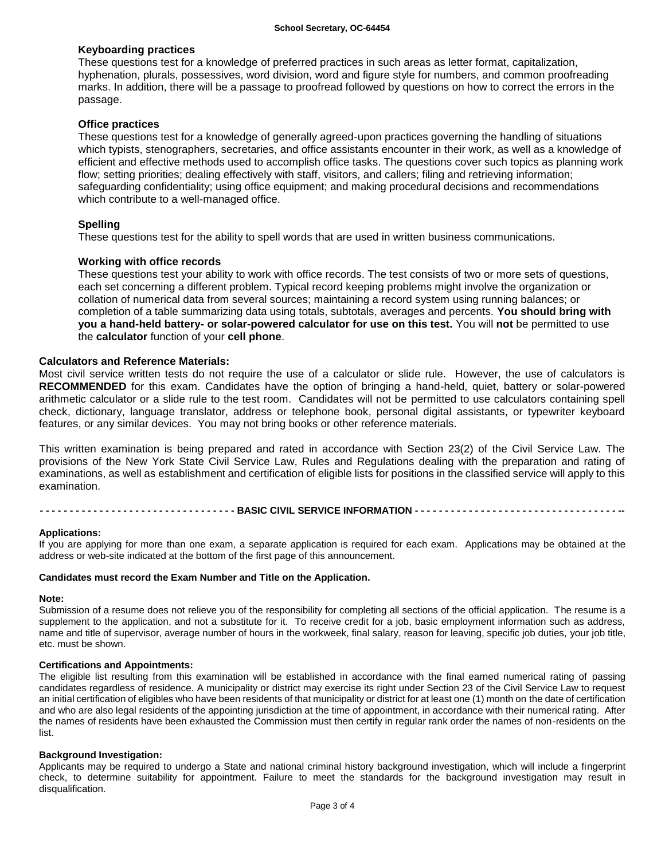# **Keyboarding practices**

These questions test for a knowledge of preferred practices in such areas as letter format, capitalization, hyphenation, plurals, possessives, word division, word and figure style for numbers, and common proofreading marks. In addition, there will be a passage to proofread followed by questions on how to correct the errors in the passage.

## **Office practices**

These questions test for a knowledge of generally agreed-upon practices governing the handling of situations which typists, stenographers, secretaries, and office assistants encounter in their work, as well as a knowledge of efficient and effective methods used to accomplish office tasks. The questions cover such topics as planning work flow; setting priorities; dealing effectively with staff, visitors, and callers; filing and retrieving information; safeguarding confidentiality; using office equipment; and making procedural decisions and recommendations which contribute to a well-managed office.

# **Spelling**

These questions test for the ability to spell words that are used in written business communications.

# **Working with office records**

These questions test your ability to work with office records. The test consists of two or more sets of questions, each set concerning a different problem. Typical record keeping problems might involve the organization or collation of numerical data from several sources; maintaining a record system using running balances; or completion of a table summarizing data using totals, subtotals, averages and percents. **You should bring with you a hand-held battery- or solar-powered calculator for use on this test.** You will **not** be permitted to use the **calculator** function of your **cell phone**.

## **Calculators and Reference Materials:**

Most civil service written tests do not require the use of a calculator or slide rule. However, the use of calculators is **RECOMMENDED** for this exam. Candidates have the option of bringing a hand-held, quiet, battery or solar-powered arithmetic calculator or a slide rule to the test room. Candidates will not be permitted to use calculators containing spell check, dictionary, language translator, address or telephone book, personal digital assistants, or typewriter keyboard features, or any similar devices. You may not bring books or other reference materials.

This written examination is being prepared and rated in accordance with Section 23(2) of the Civil Service Law. The provisions of the New York State Civil Service Law, Rules and Regulations dealing with the preparation and rating of examinations, as well as establishment and certification of eligible lists for positions in the classified service will apply to this examination.

**- - - - - - - - - - - - - - - - - - - - - - - - - - - - - - - - - BASIC CIVIL SERVICE INFORMATION - - - - - - - - - - - - - - - - - - - - - - - - - - - - - - - - - - --**

## **Applications:**

If you are applying for more than one exam, a separate application is required for each exam. Applications may be obtained at the address or web-site indicated at the bottom of the first page of this announcement.

#### **Candidates must record the Exam Number and Title on the Application.**

#### **Note:**

Submission of a resume does not relieve you of the responsibility for completing all sections of the official application. The resume is a supplement to the application, and not a substitute for it. To receive credit for a job, basic employment information such as address, name and title of supervisor, average number of hours in the workweek, final salary, reason for leaving, specific job duties, your job title, etc. must be shown.

## **Certifications and Appointments:**

The eligible list resulting from this examination will be established in accordance with the final earned numerical rating of passing candidates regardless of residence. A municipality or district may exercise its right under Section 23 of the Civil Service Law to request an initial certification of eligibles who have been residents of that municipality or district for at least one (1) month on the date of certification and who are also legal residents of the appointing jurisdiction at the time of appointment, in accordance with their numerical rating. After the names of residents have been exhausted the Commission must then certify in regular rank order the names of non-residents on the list.

## **Background Investigation:**

Applicants may be required to undergo a State and national criminal history background investigation, which will include a fingerprint check, to determine suitability for appointment. Failure to meet the standards for the background investigation may result in disqualification.